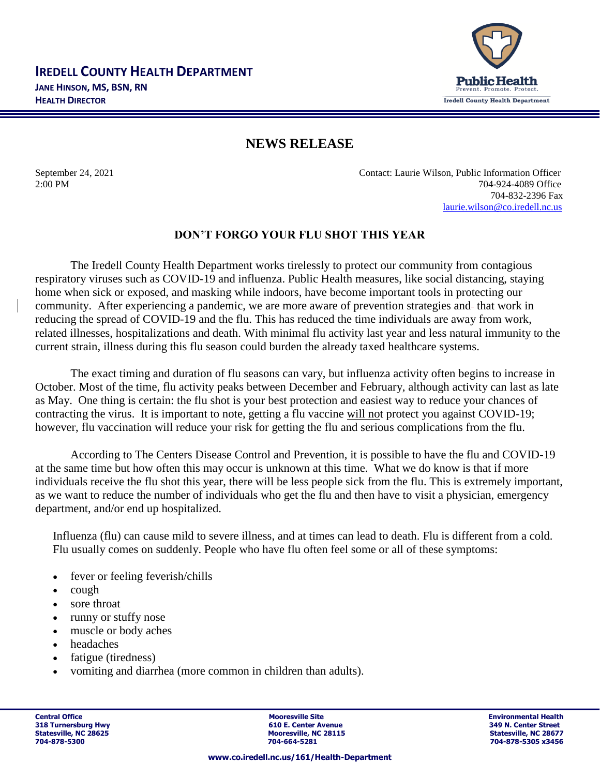

## **NEWS RELEASE**

September 24, 2021 Contact: Laurie Wilson, Public Information Officer 2:00 PM 704-924-4089 Office 704-832-2396 Fax [laurie.wilson@co.iredell.nc.us](mailto:laurie.wilson@co.iredell.nc.us)

## **DON'T FORGO YOUR FLU SHOT THIS YEAR**

The Iredell County Health Department works tirelessly to protect our community from contagious respiratory viruses such as COVID-19 and influenza. Public Health measures, like social distancing, staying home when sick or exposed, and masking while indoors, have become important tools in protecting our community. After experiencing a pandemic, we are more aware of prevention strategies and that work in reducing the spread of COVID-19 and the flu. This has reduced the time individuals are away from work, related illnesses, hospitalizations and death. With minimal flu activity last year and less natural immunity to the current strain, illness during this flu season could burden the already taxed healthcare systems.

The exact timing and duration of flu seasons can vary, but influenza activity often begins to increase in October. Most of the time, flu activity peaks between December and February, although activity can last as late as May. One thing is certain: the flu shot is your best protection and easiest way to reduce your chances of contracting the virus. It is important to note, getting a flu vaccine will not protect you against COVID-19; however, flu vaccination will reduce your risk for getting the flu and serious complications from the flu.

According to The Centers Disease Control and Prevention, it is possible to have the flu and COVID-19 at the same time but how often this may occur is unknown at this time. What we do know is that if more individuals receive the flu shot this year, there will be less people sick from the flu. This is extremely important, as we want to reduce the number of individuals who get the flu and then have to visit a physician, emergency department, and/or end up hospitalized.

Influenza (flu) can cause mild to severe illness, and at times can lead to death. Flu is different from a cold. Flu usually comes on suddenly. People who have flu often feel some or all of these symptoms:

- fever or feeling feverish/chills
- cough
- sore throat
- runny or stuffy nose
- muscle or body aches
- headaches
- fatigue (tiredness)
- vomiting and diarrhea (more common in children than adults).

**Central Office Mooresville Site Environmental Health 318 Turnersburg Hwy 1988 1998 1999 1999 1999 1999 1999 10:31 1999 1999 10:42 11:42 11:42 11:42 11:42 11:42 11:42 11:42 11:42 11:42 11:42 11:42 11:42 11:42 11:42 11:42 11:42 11:42 11:42 11:42 11:42 11:42 11:42 11:42 11:42** Statesville, NC 28625 **Mooresville, NC 28115** Statesville, NC 28627<br>
2014-664-5281<br>
2014-664-5281 Statesville, NC 28677<br>
2014-828-5305 x3456

**704-878-5300 704-664-5281 704-878-5305 x3456**